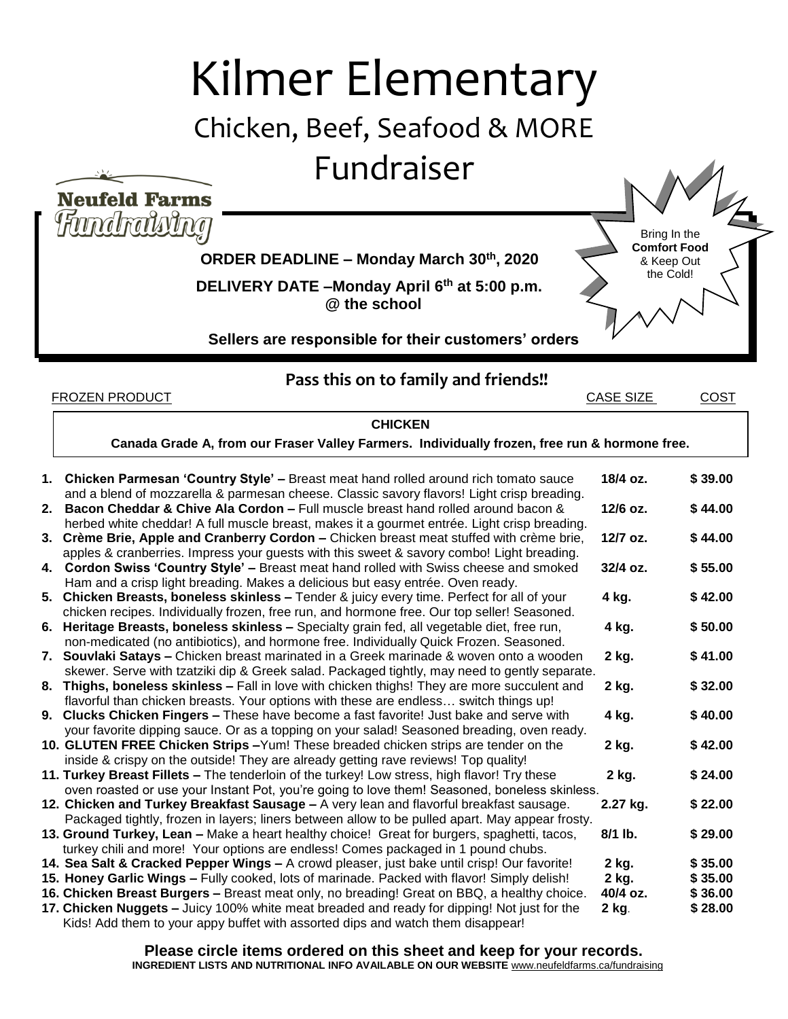## Kilmer Elementary

Bring In the **Comfort Food**  & Keep Out the Cold!

## Chicken, Beef, Seafood & MORE

Fundraiser

**Neufeld Farms** 

Fundralvina

 **ORDER DEADLINE – Monday March 30 th, 2020**

 **DELIVERY DATE –Monday April 6th at 5:00 p.m. @ the school**

**Sellers are responsible for their customers' orders**

**Pass this on to family and friends!!**

**FROZEN PRODUCT CASE SIZE COST** 

**1. Chicken Parmesan 'Country Style' –** Breast meat hand rolled around rich tomato sauce **18/4 oz. \$ 39.00** and a blend of mozzarella & parmesan cheese. Classic savory flavors! Light crisp breading. **2. Bacon Cheddar & Chive Ala Cordon –** Full muscle breast hand rolled around bacon & **12/6 oz. \$ 44.00** herbed white cheddar! A full muscle breast, makes it a gourmet entrée. Light crisp breading. **3. Crème Brie, Apple and Cranberry Cordon –** Chicken breast meat stuffed with crème brie, **12/7 oz. \$ 44.00** apples & cranberries. Impress your guests with this sweet & savory combo! Light breading. **4. Cordon Swiss 'Country Style' –** Breast meat hand rolled with Swiss cheese and smoked **32/4 oz. \$ 55.00** Ham and a crisp light breading. Makes a delicious but easy entrée. Oven ready. **5. Chicken Breasts, boneless skinless –** Tender & juicy every time. Perfect for all of your **4 kg. \$ 42.00** chicken recipes. Individually frozen, free run, and hormone free. Our top seller! Seasoned. **6. Heritage Breasts, boneless skinless –** Specialty grain fed, all vegetable diet, free run, **4 kg. \$ 50.00** non-medicated (no antibiotics), and hormone free. Individually Quick Frozen. Seasoned. **7. Souvlaki Satays –** Chicken breast marinated in a Greek marinade & woven onto a wooden **2 kg. \$ 41.00** skewer. Serve with tzatziki dip & Greek salad. Packaged tightly, may need to gently separate. **8. Thighs, boneless skinless –** Fall in love with chicken thighs! They are more succulent and **2 kg. \$ 32.00** flavorful than chicken breasts. Your options with these are endless… switch things up! **9. Clucks Chicken Fingers –** These have become a fast favorite! Just bake and serve with **4 kg. \$ 40.00** your favorite dipping sauce. Or as a topping on your salad! Seasoned breading, oven ready. **10. GLUTEN FREE Chicken Strips –**Yum! These breaded chicken strips are tender on the **2 kg. \$ 42.00** inside & crispy on the outside! They are already getting rave reviews! Top quality! **11. Turkey Breast Fillets –** The tenderloin of the turkey! Low stress, high flavor! Try these **2 kg. \$ 24.00** oven roasted or use your Instant Pot, you're going to love them! Seasoned, boneless skinless. **12. Chicken and Turkey Breakfast Sausage –** A very lean and flavorful breakfast sausage. **2.27 kg. \$ 22.00** Packaged tightly, frozen in layers; liners between allow to be pulled apart. May appear frosty. **13. Ground Turkey, Lean –** Make a heart healthy choice! Great for burgers, spaghetti, tacos, **8/1 lb. \$ 29.00** turkey chili and more! Your options are endless! Comes packaged in 1 pound chubs. **14. Sea Salt & Cracked Pepper Wings –** A crowd pleaser, just bake until crisp! Our favorite! **2 kg. \$ 35.00 15. Honey Garlic Wings –** Fully cooked, lots of marinade. Packed with flavor! Simply delish! **2 kg. 16. Chicken Breast Burgers –** Breast meat only, no breading! Great on BBQ, a healthy choice. **40/4 oz. \$ 36.00 17. Chicken Nuggets –** Juicy 100% white meat breaded and ready for dipping! Not just for the **2 kg**. **\$ 28.00** Kids! Add them to your appy buffet with assorted dips and watch them disappear! **CHICKEN Canada Grade A, from our Fraser Valley Farmers. Individually frozen, free run & hormone free.**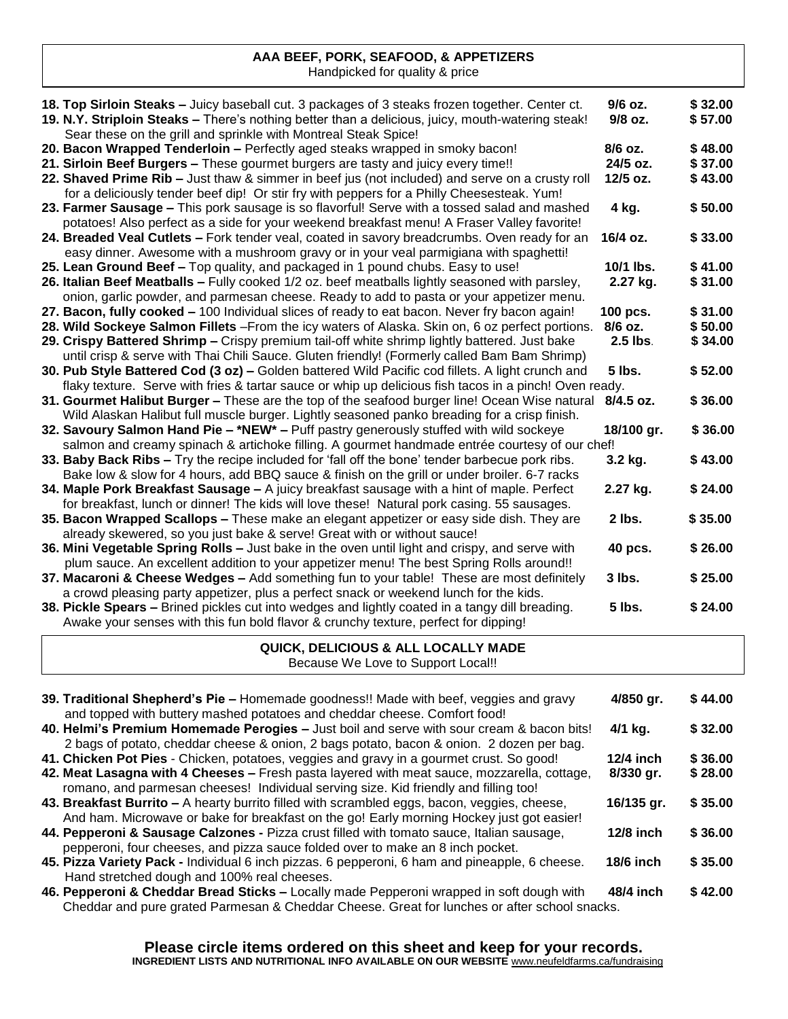## **AAA BEEF, PORK, SEAFOOD, & APPETIZERS**

..., PONN, SEALOOD, & APP<br>Handpicked for quality & price

| 18. Top Sirloin Steaks - Juicy baseball cut. 3 packages of 3 steaks frozen together. Center ct.<br>19. N.Y. Striploin Steaks - There's nothing better than a delicious, juicy, mouth-watering steak!<br>Sear these on the grill and sprinkle with Montreal Steak Spice! | 9/6 oz.<br>9/8 oz. | \$32.00<br>\$57.00 |
|-------------------------------------------------------------------------------------------------------------------------------------------------------------------------------------------------------------------------------------------------------------------------|--------------------|--------------------|
| 20. Bacon Wrapped Tenderloin - Perfectly aged steaks wrapped in smoky bacon!                                                                                                                                                                                            | 8/6 oz.            | \$48.00            |
| 21. Sirloin Beef Burgers - These gourmet burgers are tasty and juicy every time!!                                                                                                                                                                                       | 24/5 oz.           | \$37.00            |
| 22. Shaved Prime Rib - Just thaw & simmer in beef jus (not included) and serve on a crusty roll                                                                                                                                                                         | 12/5 oz.           | \$43.00            |
| for a deliciously tender beef dip! Or stir fry with peppers for a Philly Cheesesteak. Yum!                                                                                                                                                                              |                    |                    |
| 23. Farmer Sausage - This pork sausage is so flavorful! Serve with a tossed salad and mashed                                                                                                                                                                            | 4 kg.              | \$50.00            |
| potatoes! Also perfect as a side for your weekend breakfast menu! A Fraser Valley favorite!                                                                                                                                                                             |                    |                    |
| 24. Breaded Veal Cutlets - Fork tender veal, coated in savory breadcrumbs. Oven ready for an                                                                                                                                                                            | 16/4 oz.           | \$33.00            |
| easy dinner. Awesome with a mushroom gravy or in your veal parmigiana with spaghetti!                                                                                                                                                                                   |                    |                    |
| 25. Lean Ground Beef - Top quality, and packaged in 1 pound chubs. Easy to use!                                                                                                                                                                                         | 10/1 lbs.          | \$41.00            |
| 26. Italian Beef Meatballs - Fully cooked 1/2 oz. beef meatballs lightly seasoned with parsley,                                                                                                                                                                         | 2.27 kg.           | \$31.00            |
| onion, garlic powder, and parmesan cheese. Ready to add to pasta or your appetizer menu.                                                                                                                                                                                |                    |                    |
| 27. Bacon, fully cooked - 100 Individual slices of ready to eat bacon. Never fry bacon again!                                                                                                                                                                           | 100 pcs.           | \$31.00            |
| 28. Wild Sockeye Salmon Fillets - From the icy waters of Alaska. Skin on, 6 oz perfect portions.                                                                                                                                                                        | 8/6 oz.            | \$50.00            |
| 29. Crispy Battered Shrimp - Crispy premium tail-off white shrimp lightly battered. Just bake                                                                                                                                                                           | 2.5 lbs.           | \$34.00            |
| until crisp & serve with Thai Chili Sauce. Gluten friendly! (Formerly called Bam Bam Shrimp)                                                                                                                                                                            |                    |                    |
| 30. Pub Style Battered Cod (3 oz) - Golden battered Wild Pacific cod fillets. A light crunch and                                                                                                                                                                        | 5 lbs.             | \$52.00            |
| flaky texture. Serve with fries & tartar sauce or whip up delicious fish tacos in a pinch! Oven ready.                                                                                                                                                                  |                    |                    |
| 31. Gourmet Halibut Burger - These are the top of the seafood burger line! Ocean Wise natural 8/4.5 oz.                                                                                                                                                                 |                    | \$36.00            |
| Wild Alaskan Halibut full muscle burger. Lightly seasoned panko breading for a crisp finish.                                                                                                                                                                            |                    | \$36.00            |
| 32. Savoury Salmon Hand Pie - *NEW* - Puff pastry generously stuffed with wild sockeye                                                                                                                                                                                  | 18/100 gr.         |                    |
| salmon and creamy spinach & artichoke filling. A gourmet handmade entrée courtesy of our chef!<br>33. Baby Back Ribs - Try the recipe included for 'fall off the bone' tender barbecue pork ribs.                                                                       | 3.2 kg.            | \$43.00            |
|                                                                                                                                                                                                                                                                         |                    |                    |
| Bake low & slow for 4 hours, add BBQ sauce & finish on the grill or under broiler. 6-7 racks<br>34. Maple Pork Breakfast Sausage - A juicy breakfast sausage with a hint of maple. Perfect                                                                              | 2.27 kg.           | \$24.00            |
| for breakfast, lunch or dinner! The kids will love these! Natural pork casing. 55 sausages.                                                                                                                                                                             |                    |                    |
| 35. Bacon Wrapped Scallops - These make an elegant appetizer or easy side dish. They are                                                                                                                                                                                | 2 lbs.             | \$35.00            |
| already skewered, so you just bake & serve! Great with or without sauce!                                                                                                                                                                                                |                    |                    |
| 36. Mini Vegetable Spring Rolls - Just bake in the oven until light and crispy, and serve with                                                                                                                                                                          | 40 pcs.            | \$26.00            |
| plum sauce. An excellent addition to your appetizer menu! The best Spring Rolls around!!                                                                                                                                                                                |                    |                    |
| 37. Macaroni & Cheese Wedges - Add something fun to your table! These are most definitely                                                                                                                                                                               | 3 lbs.             | \$25.00            |
| a crowd pleasing party appetizer, plus a perfect snack or weekend lunch for the kids.                                                                                                                                                                                   |                    |                    |
| 38. Pickle Spears - Brined pickles cut into wedges and lightly coated in a tangy dill breading.                                                                                                                                                                         | 5 lbs.             | \$24.00            |
| Awake your senses with this fun bold flavor & crunchy texture, perfect for dipping!                                                                                                                                                                                     |                    |                    |
|                                                                                                                                                                                                                                                                         |                    |                    |
| QUICK, DELICIOUS & ALL LOCALLY MADE                                                                                                                                                                                                                                     |                    |                    |
| Because We Love to Support Local!!                                                                                                                                                                                                                                      |                    |                    |
| 39. Traditional Shepherd's Pie - Homemade goodness!! Made with beef, veggies and gravy<br>and topped with buttery mashed potatoes and cheddar cheese. Comfort food!                                                                                                     | 4/850 gr.          | \$44.00            |

- **40. Helmi's Premium Homemade Perogies –** Just boil and serve with sour cream & bacon bits! **4/1 kg. \$ 32.00** 2 bags of potato, cheddar cheese & onion, 2 bags potato, bacon & onion. 2 dozen per bag.
- **41. Chicken Pot Pies** Chicken, potatoes, veggies and gravy in a gourmet crust. So good! **12/4 inch \$ 36.00 42. Meat Lasagna with 4 Cheeses –** Fresh pasta layered with meat sauce, mozzarella, cottage, 8/330 gr. romano, and parmesan cheeses! Individual serving size. Kid friendly and filling too!
- **43. Breakfast Burrito –** A hearty burrito filled with scrambled eggs, bacon, veggies, cheese, **16/135 gr. \$ 35.00** And ham. Microwave or bake for breakfast on the go! Early morning Hockey just got easier!
- **44. Pepperoni & Sausage Calzones -** Pizza crust filled with tomato sauce, Italian sausage, **12/8 inch \$ 36.00** pepperoni, four cheeses, and pizza sauce folded over to make an 8 inch pocket.
- **45. Pizza Variety Pack -** Individual 6 inch pizzas. 6 pepperoni, 6 ham and pineapple, 6 cheese. **18/6 inch \$ 35.00** Hand stretched dough and 100% real cheeses.
- **46. Pepperoni & Cheddar Bread Sticks –** Locally made Pepperoni wrapped in soft dough with **48/4 inch \$ 42.00** Cheddar and pure grated Parmesan & Cheddar Cheese. Great for lunches or after school snacks.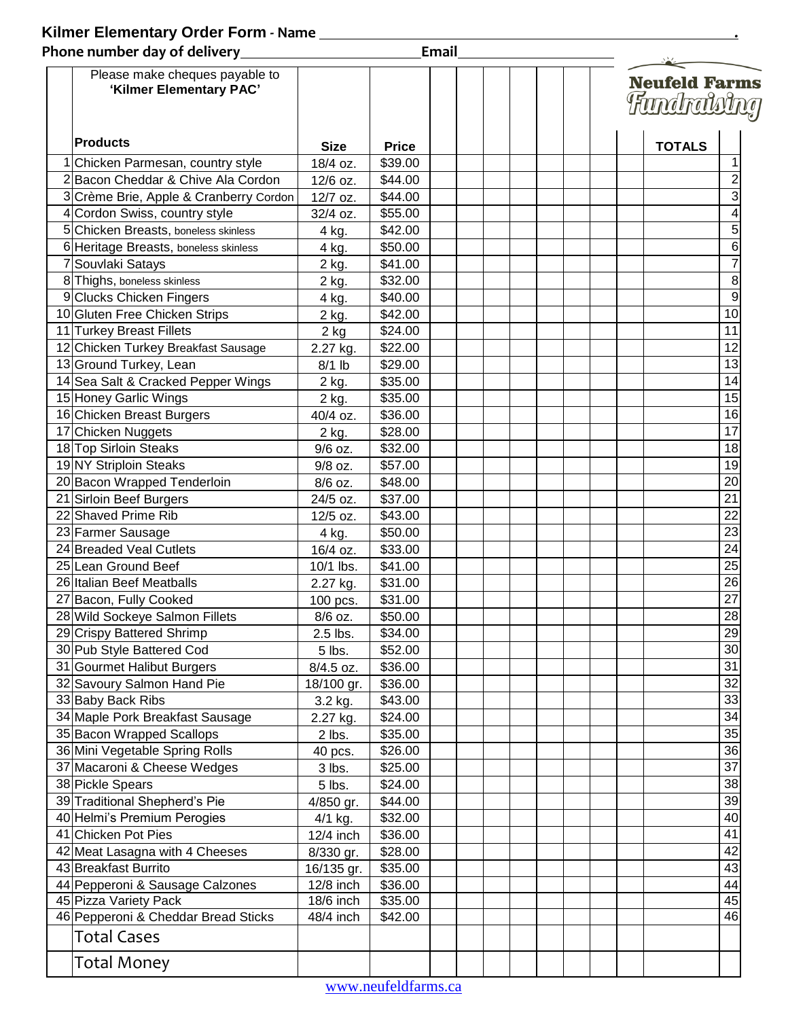## **Kilmer Elementary Order Form - Name**

| Phone number day of delivery                              |             | Email        |  |                                     |  |  |               |                 |
|-----------------------------------------------------------|-------------|--------------|--|-------------------------------------|--|--|---------------|-----------------|
| Please make cheques payable to<br>'Kilmer Elementary PAC' |             |              |  | <b>Neufeld Farms</b><br>Fundrateing |  |  |               |                 |
| <b>Products</b>                                           | <b>Size</b> | <b>Price</b> |  |                                     |  |  | <b>TOTALS</b> |                 |
| 1 Chicken Parmesan, country style                         | 18/4 oz.    | \$39.00      |  |                                     |  |  |               |                 |
| 2 Bacon Cheddar & Chive Ala Cordon                        | 12/6 oz.    | \$44.00      |  |                                     |  |  |               | $\overline{c}$  |
| 3 Crème Brie, Apple & Cranberry Cordon                    | 12/7 oz.    | \$44.00      |  |                                     |  |  |               | 3               |
| 4 Cordon Swiss, country style                             | 32/4 oz.    | \$55.00      |  |                                     |  |  |               |                 |
| 5 Chicken Breasts, boneless skinless                      | 4 kg.       | \$42.00      |  |                                     |  |  |               | 5               |
| 6 Heritage Breasts, boneless skinless                     | 4 kg.       | \$50.00      |  |                                     |  |  |               | 6               |
| 7 Souvlaki Satays                                         | 2 kg.       | \$41.00      |  |                                     |  |  |               | 7               |
| 8 Thighs, boneless skinless                               | 2 kg.       | \$32.00      |  |                                     |  |  |               | 8               |
| 9 Clucks Chicken Fingers                                  | 4 kg.       | \$40.00      |  |                                     |  |  |               | 9               |
| 10 Gluten Free Chicken Strips                             | 2 kg.       | \$42.00      |  |                                     |  |  |               | 10              |
| 11 Turkey Breast Fillets                                  | $2$ kg      | \$24.00      |  |                                     |  |  |               | 11              |
| 12 Chicken Turkey Breakfast Sausage                       | 2.27 kg.    | \$22.00      |  |                                     |  |  |               | 12              |
| 13 Ground Turkey, Lean                                    | $8/1$ lb    | \$29.00      |  |                                     |  |  |               | 13              |
| 14 Sea Salt & Cracked Pepper Wings                        | 2 kg.       | \$35.00      |  |                                     |  |  |               | 14              |
| 15 Honey Garlic Wings                                     | 2 kg.       | \$35.00      |  |                                     |  |  |               | 15              |
| 16 Chicken Breast Burgers                                 | 40/4 oz.    | \$36.00      |  |                                     |  |  |               | 16              |
| 17 Chicken Nuggets                                        | 2 kg.       | \$28.00      |  |                                     |  |  |               | 17              |
| 18 Top Sirloin Steaks                                     | 9/6 oz.     | \$32.00      |  |                                     |  |  |               | 18              |
| 19 NY Striploin Steaks                                    | 9/8 oz.     | \$57.00      |  |                                     |  |  |               | 19              |
| 20 Bacon Wrapped Tenderloin                               | 8/6 oz.     | \$48.00      |  |                                     |  |  |               | 20              |
| 21 Sirloin Beef Burgers                                   | 24/5 oz.    | \$37.00      |  |                                     |  |  |               | $\overline{21}$ |
| 22 Shaved Prime Rib                                       | 12/5 oz.    | \$43.00      |  |                                     |  |  |               | $\overline{22}$ |
| 23 Farmer Sausage                                         | 4 kg.       | \$50.00      |  |                                     |  |  |               | 23              |
| 24 Breaded Veal Cutlets                                   | 16/4 oz.    | \$33.00      |  |                                     |  |  |               | 24              |
| 25 Lean Ground Beef                                       | 10/1 lbs.   | \$41.00      |  |                                     |  |  |               | 25              |
| 26 Italian Beef Meatballs                                 | 2.27 kg.    | \$31.00      |  |                                     |  |  |               | 26              |
| 27 Bacon, Fully Cooked                                    | 100 pcs.    | \$31.00      |  |                                     |  |  |               | $\overline{27}$ |
| 28 Wild Sockeye Salmon Fillets                            | 8/6 oz.     | \$50.00      |  |                                     |  |  |               | 28              |
| 29 Crispy Battered Shrimp                                 | 2.5 lbs.    | \$34.00      |  |                                     |  |  |               | 29              |
| 30 Pub Style Battered Cod                                 | 5 lbs.      | \$52.00      |  |                                     |  |  |               | 30              |
| 31 Gourmet Halibut Burgers                                | 8/4.5 oz.   | \$36.00      |  |                                     |  |  |               | 31              |
| 32 Savoury Salmon Hand Pie                                | 18/100 gr.  | \$36.00      |  |                                     |  |  |               | 32              |
| 33 Baby Back Ribs                                         | 3.2 kg.     | \$43.00      |  |                                     |  |  |               | 33              |
| 34 Maple Pork Breakfast Sausage                           | 2.27 kg.    | \$24.00      |  |                                     |  |  |               | 34              |
| 35 Bacon Wrapped Scallops                                 | 2 lbs.      | \$35.00      |  |                                     |  |  |               | 35              |
| 36 Mini Vegetable Spring Rolls                            | 40 pcs.     | \$26.00      |  |                                     |  |  |               | 36              |
| 37 Macaroni & Cheese Wedges                               | 3 lbs.      | \$25.00      |  |                                     |  |  |               | 37              |
| 38 Pickle Spears                                          | 5 lbs.      | \$24.00      |  |                                     |  |  |               | $\overline{38}$ |
| 39 Traditional Shepherd's Pie                             | 4/850 gr.   | \$44.00      |  |                                     |  |  |               | 39              |
| 40 Helmi's Premium Perogies                               | 4/1 kg.     | \$32.00      |  |                                     |  |  |               | 40              |
| 41 Chicken Pot Pies                                       | $12/4$ inch | \$36.00      |  |                                     |  |  |               | 41              |
| 42 Meat Lasagna with 4 Cheeses                            | 8/330 gr.   | \$28.00      |  |                                     |  |  |               | 42              |
| 43 Breakfast Burrito                                      | 16/135 gr.  | \$35.00      |  |                                     |  |  |               | 43              |
| 44 Pepperoni & Sausage Calzones                           | 12/8 inch   | \$36.00      |  |                                     |  |  |               | 44              |
| 45 Pizza Variety Pack                                     | 18/6 inch   | \$35.00      |  |                                     |  |  |               | 45              |
| 46 Pepperoni & Cheddar Bread Sticks                       | 48/4 inch   | \$42.00      |  |                                     |  |  |               | 46              |
| Total Cases                                               |             |              |  |                                     |  |  |               |                 |
| Total Money                                               |             |              |  |                                     |  |  |               |                 |

**.**